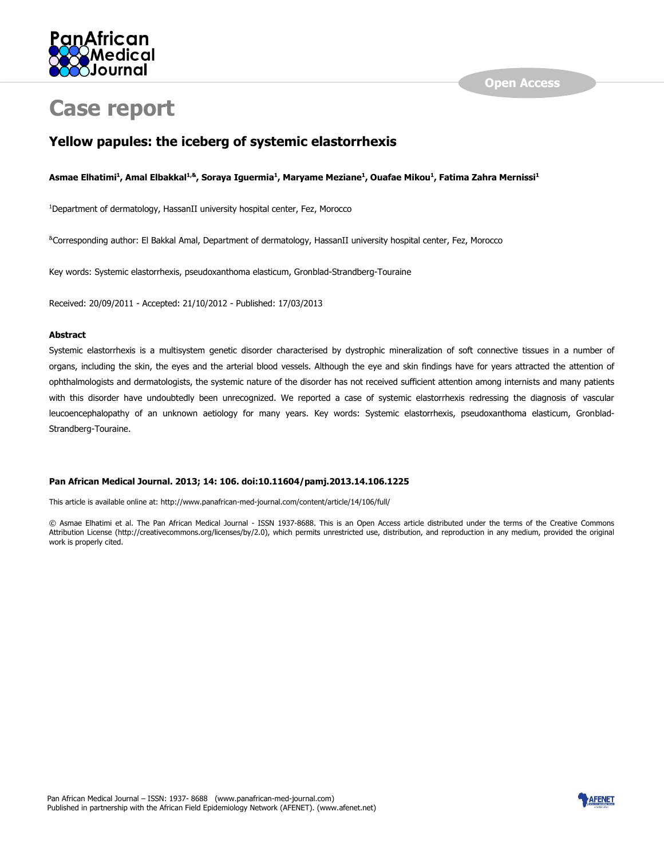

# **Case report**

## **Yellow papules: the iceberg of systemic elastorrhexis**

#### **Asmae Elhatimi<sup>1</sup> , Amal Elbakkal1,&, Soraya Iguermia<sup>1</sup> , Maryame Meziane<sup>1</sup> , Ouafae Mikou<sup>1</sup> , Fatima Zahra Mernissi<sup>1</sup>**

<sup>1</sup>Department of dermatology, HassanII university hospital center, Fez, Morocco

&Corresponding author: El Bakkal Amal, Department of dermatology, HassanII university hospital center, Fez, Morocco

Key words: Systemic elastorrhexis, pseudoxanthoma elasticum, Gronblad-Strandberg-Touraine

Received: 20/09/2011 - Accepted: 21/10/2012 - Published: 17/03/2013

#### **Abstract**

Systemic elastorrhexis is a multisystem genetic disorder characterised by dystrophic mineralization of soft connective tissues in a number of organs, including the skin, the eyes and the arterial blood vessels. Although the eye and skin findings have for years attracted the attention of ophthalmologists and dermatologists, the systemic nature of the disorder has not received sufficient attention among internists and many patients with this disorder have undoubtedly been unrecognized. We reported a case of systemic elastorrhexis redressing the diagnosis of vascular leucoencephalopathy of an unknown aetiology for many years. Key words: Systemic elastorrhexis, pseudoxanthoma elasticum, Gronblad-Strandberg-Touraine.

#### **Pan African Medical Journal. 2013; 14: 106. doi:10.11604/pamj.2013.14.106.1225**

This article is available online at: http://www.panafrican-med-journal.com/content/article/14/106/full/

© Asmae Elhatimi et al. The Pan African Medical Journal - ISSN 1937-8688. This is an Open Access article distributed under the terms of the Creative Commons Attribution License (http://creativecommons.org/licenses/by/2.0), which permits unrestricted use, distribution, and reproduction in any medium, provided the original work is properly cited.

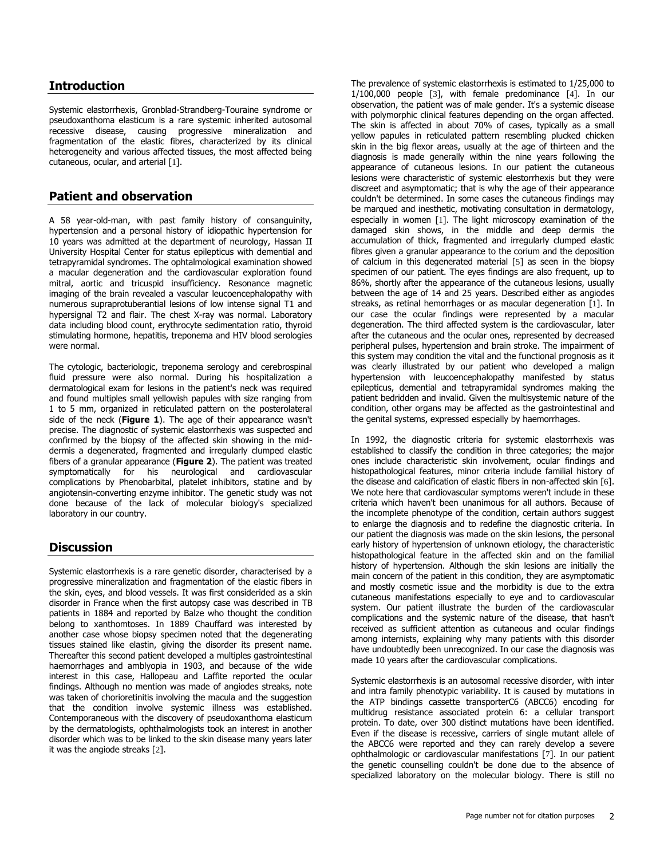#### **Introduction**

Systemic elastorrhexis, Gronblad-Strandberg-Touraine syndrome or pseudoxanthoma elasticum is a rare systemic inherited autosomal recessive disease, causing progressive mineralization and fragmentation of the elastic fibres, characterized by its clinical heterogeneity and various affected tissues, the most affected being cutaneous, ocular, and arterial [[1](http://www.panafrican-med-journal.com/content/article/14/106/full/#ref1)].

## **Patient and observation**

A 58 year-old-man, with past family history of consanguinity, hypertension and a personal history of idiopathic hypertension for 10 years was admitted at the department of neurology, Hassan II University Hospital Center for status epilepticus with demential and tetrapyramidal syndromes. The ophtalmological examination showed a macular degeneration and the cardiovascular exploration found mitral, aortic and tricuspid insufficiency. Resonance magnetic imaging of the brain revealed a vascular leucoencephalopathy with numerous supraprotuberantial lesions of low intense signal T1 and hypersignal T2 and flair. The chest X-ray was normal. Laboratory data including blood count, erythrocyte sedimentation ratio, thyroid stimulating hormone, hepatitis, treponema and HIV blood serologies were normal.

The cytologic, bacteriologic, treponema serology and cerebrospinal fluid pressure were also normal. During his hospitalization a dermatological exam for lesions in the patient's neck was required and found multiples small yellowish papules with size ranging from 1 to 5 mm, organized in reticulated pattern on the posterolateral side of the neck (**Figure 1**). The age of their appearance wasn't precise. The diagnostic of systemic elastorrhexis was suspected and confirmed by the biopsy of the affected skin showing in the middermis a degenerated, fragmented and irregularly clumped elastic fibers of a granular appearance (**Figure 2**). The patient was treated symptomatically for his neurological and cardiovascular complications by Phenobarbital, platelet inhibitors, statine and by angiotensin-converting enzyme inhibitor. The genetic study was not done because of the lack of molecular biology's specialized laboratory in our country.

## **Discussion**

Systemic elastorrhexis is a rare genetic disorder, characterised by a progressive mineralization and fragmentation of the elastic fibers in the skin, eyes, and blood vessels. It was first considerided as a skin disorder in France when the first autopsy case was described in TB patients in 1884 and reported by Balze who thought the condition belong to xanthomtoses. In 1889 Chauffard was interested by another case whose biopsy specimen noted that the degenerating tissues stained like elastin, giving the disorder its present name. Thereafter this second patient developed a multiples gastrointestinal haemorrhages and amblyopia in 1903, and because of the wide interest in this case, Hallopeau and Laffite reported the ocular findings. Although no mention was made of angiodes streaks, note was taken of chorioretinitis involving the macula and the suggestion that the condition involve systemic illness was established. Contemporaneous with the discovery of pseudoxanthoma elasticum by the dermatologists, ophthalmologists took an interest in another disorder which was to be linked to the skin disease many years later it was the angiode streaks [[2](http://www.panafrican-med-journal.com/content/article/14/106/full/#ref2)].

The prevalence of systemic elastorrhexis is estimated to 1/25,000 to 1/100,000 people [[3](http://www.panafrican-med-journal.com/content/article/14/106/full/#ref3)], with female predominance [[4](http://www.panafrican-med-journal.com/content/article/14/106/full/#ref4)]. In our observation, the patient was of male gender. It's a systemic disease with polymorphic clinical features depending on the organ affected. The skin is affected in about 70% of cases, typically as a small yellow papules in reticulated pattern resembling plucked chicken skin in the big flexor areas, usually at the age of thirteen and the diagnosis is made generally within the nine years following the appearance of cutaneous lesions. In our patient the cutaneous lesions were characteristic of systemic elestorrhexis but they were discreet and asymptomatic; that is why the age of their appearance couldn't be determined. In some cases the cutaneous findings may be marqued and inesthetic, motivating consultation in dermatology, especially in women [[1](http://www.panafrican-med-journal.com/content/article/14/106/full/#ref1)]. The light microscopy examination of the damaged skin shows, in the middle and deep dermis the accumulation of thick, fragmented and irregularly clumped elastic fibres given a granular appearance to the corium and the deposition of calcium in this degenerated material [[5](http://www.panafrican-med-journal.com/content/article/14/106/full/#ref5)] as seen in the biopsy specimen of our patient. The eyes findings are also frequent, up to 86%, shortly after the appearance of the cutaneous lesions, usually between the age of 14 and 25 years. Described either as angiodes streaks, as retinal hemorrhages or as macular degeneration [[1](http://www.panafrican-med-journal.com/content/article/14/106/full/#ref1)]. In our case the ocular findings were represented by a macular degeneration. The third affected system is the cardiovascular, later after the cutaneous and the ocular ones, represented by decreased peripheral pulses, hypertension and brain stroke. The impairment of this system may condition the vital and the functional prognosis as it was clearly illustrated by our patient who developed a malign hypertension with leucoencephalopathy manifested by status epilepticus, demential and tetrapyramidal syndromes making the patient bedridden and invalid. Given the multisystemic nature of the condition, other organs may be affected as the gastrointestinal and the genital systems, expressed especially by haemorrhages.

In 1992, the diagnostic criteria for systemic elastorrhexis was established to classify the condition in three categories; the major ones include characteristic skin involvement, ocular findings and histopathological features, minor criteria include familial history of the disease and calcification of elastic fibers in non-affected skin [[6](http://www.panafrican-med-journal.com/content/article/14/106/full/#ref6)]. We note here that cardiovascular symptoms weren't include in these criteria which haven't been unanimous for all authors. Because of the incomplete phenotype of the condition, certain authors suggest to enlarge the diagnosis and to redefine the diagnostic criteria. In our patient the diagnosis was made on the skin lesions, the personal early history of hypertension of unknown etiology, the characteristic histopathological feature in the affected skin and on the familial history of hypertension. Although the skin lesions are initially the main concern of the patient in this condition, they are asymptomatic and mostly cosmetic issue and the morbidity is due to the extra cutaneous manifestations especially to eye and to cardiovascular system. Our patient illustrate the burden of the cardiovascular complications and the systemic nature of the disease, that hasn't received as sufficient attention as cutaneous and ocular findings among internists, explaining why many patients with this disorder have undoubtedly been unrecognized. In our case the diagnosis was made 10 years after the cardiovascular complications.

Systemic elastorrhexis is an autosomal recessive disorder, with inter and intra family phenotypic variability. It is caused by mutations in the ATP bindings cassette transporterC6 (ABCC6) encoding for multidrug resistance associated protein 6: a cellular transport protein. To date, over 300 distinct mutations have been identified. Even if the disease is recessive, carriers of single mutant allele of the ABCC6 were reported and they can rarely develop a severe ophthalmologic or cardiovascular manifestations [[7](http://www.panafrican-med-journal.com/content/article/14/106/full/#ref7)]. In our patient the genetic counselling couldn't be done due to the absence of specialized laboratory on the molecular biology. There is still no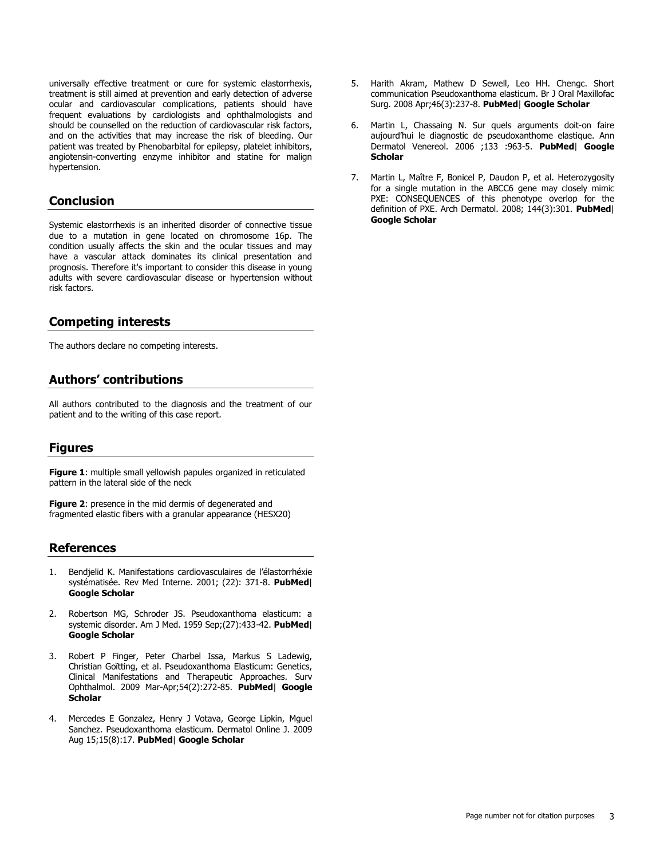universally effective treatment or cure for systemic elastorrhexis, treatment is still aimed at prevention and early detection of adverse ocular and cardiovascular complications, patients should have frequent evaluations by cardiologists and ophthalmologists and should be counselled on the reduction of cardiovascular risk factors, and on the activities that may increase the risk of bleeding. Our patient was treated by Phenobarbital for epilepsy, platelet inhibitors, angiotensin-converting enzyme inhibitor and statine for malign hypertension.

#### **Conclusion**

Systemic elastorrhexis is an inherited disorder of connective tissue due to a mutation in gene located on chromosome 16p. The condition usually affects the skin and the ocular tissues and may have a vascular attack dominates its clinical presentation and prognosis. Therefore it's important to consider this disease in young adults with severe cardiovascular disease or hypertension without risk factors.

### **Competing interests**

The authors declare no competing interests.

#### **Authors' contributions**

All authors contributed to the diagnosis and the treatment of our patient and to the writing of this case report.

#### **Figures**

**[Figure 1](javascript:PopupFigure()**: multiple small yellowish papules organized in reticulated pattern in the lateral side of the neck

**[Figure 2](javascript:PopupFigure()**: presence in the mid dermis of degenerated and fragmented elastic fibers with a granular appearance (HESX20)

#### **References**

- 1. Bendjelid K. Manifestations cardiovasculaires de l'élastorrhéxie systématisée. Rev Med Interne. 2001; (22): 371-8. **[PubMed](http://www.ncbi.nlm.nih.gov/entrez/query.fcgi?db=PubMed&cmd=Search&doptcmdl=Citation&defaultField=Title+Word&term=K%20%5bauthor%5d%20+AND++Bendjelid)**| **[Google Scholar](http://scholar.google.com/scholar?hl=en&q=+Bendjelid)**
- 2. Robertson MG, Schroder JS. Pseudoxanthoma elasticum: a systemic disorder. Am J Med. 1959 Sep;(27):433-42. **[PubMed](http://www.ncbi.nlm.nih.gov/entrez/query.fcgi?db=PubMed&cmd=Search&doptcmdl=Citation&defaultField=Title+Word&term=Robertson%20MG%20%5bauthor%5d%20+AND++Pseudoxanthoma+elasticum:+a+systemic+disorder)**| **[Google Scholar](http://scholar.google.com/scholar?hl=en&q=+Pseudoxanthoma+elasticum:+a+systemic+disorder)**
- 3. Robert P Finger, Peter Charbel Issa, Markus S Ladewig, Christian Goïtting, et al. Pseudoxanthoma Elasticum: Genetics, Clinical Manifestations and Therapeutic Approaches. Surv Ophthalmol. 2009 Mar-Apr;54(2):272-85. **[PubMed](http://www.ncbi.nlm.nih.gov/entrez/query.fcgi?db=PubMed&cmd=Search&doptcmdl=Citation&defaultField=Title+Word&term=Robert%20P%20Finger%20%5bauthor%5d%20+AND++Ladewig+Christian+Goïtting+et+al)**| **[Google](http://scholar.google.com/scholar?hl=en&q=+Ladewig+Christian+Goïtting+et+al)  [Scholar](http://scholar.google.com/scholar?hl=en&q=+Ladewig+Christian+Goïtting+et+al)**
- 4. Mercedes E Gonzalez, Henry J Votava, George Lipkin, Mguel Sanchez. Pseudoxanthoma elasticum. Dermatol Online J. 2009 Aug 15;15(8):17. **[PubMed](http://www.ncbi.nlm.nih.gov/entrez/query.fcgi?db=PubMed&cmd=Search&doptcmdl=Citation&defaultField=Title+Word&term=Mercedes%20E%20Gonzalez%20%5bauthor%5d%20+AND+++Pseudoxanthoma+elasticum)**| **[Google Scholar](http://scholar.google.com/scholar?hl=en&q=++Pseudoxanthoma+elasticum)**
- 5. Harith Akram, Mathew D Sewell, Leo HH. Chengc. Short communication Pseudoxanthoma elasticum. Br J Oral Maxillofac Surg. 2008 Apr;46(3):237-8. **[PubMed](http://www.ncbi.nlm.nih.gov/entrez/query.fcgi?db=PubMed&cmd=Search&doptcmdl=Citation&defaultField=Title+Word&term=Harith%20Akram%20%5bauthor%5d%20+AND++Chengc)**| **[Google Scholar](http://scholar.google.com/scholar?hl=en&q=+Chengc)**
- 6. Martin L, Chassaing N. Sur quels arguments doit-on faire aujourd'hui le diagnostic de pseudoxanthome elastique. Ann Dermatol Venereol. 2006 ;133 :963-5. **[PubMed](http://www.ncbi.nlm.nih.gov/entrez/query.fcgi?db=PubMed&cmd=Search&doptcmdl=Citation&defaultField=Title+Word&term=Martin%20L%20%5bauthor%5d%20+AND+++Sur+quels+arguments+doit-on+faire+aujourd?hui+le+diagnostic+de+pseudoxanthome+elastique)**| **[Google](http://scholar.google.com/scholar?hl=en&q=++Sur+quels+arguments+doit-on+faire+aujourd?hui+le+diagnostic+de+pseudoxanthome+elastique)  [Scholar](http://scholar.google.com/scholar?hl=en&q=++Sur+quels+arguments+doit-on+faire+aujourd?hui+le+diagnostic+de+pseudoxanthome+elastique)**
- 7. Martin L, Maître F, Bonicel P, Daudon P, et al. Heterozygosity for a single mutation in the ABCC6 gene may closely mimic PXE: CONSEQUENCES of this phenotype overlop for the definition of PXE. Arch Dermatol. 2008; 144(3):301. **[PubMed](http://www.ncbi.nlm.nih.gov/entrez/query.fcgi?db=PubMed&cmd=Search&doptcmdl=Citation&defaultField=Title+Word&term=Martin%20L%20%5bauthor%5d%20+AND+Heterozygosity+for+a+single+mutation+in+the+ABCC6+gene+may+closely+mimic+PXE+:CONSEQUENCES+of+this+phenotype+overlop+for+the+definition+of+PXE+)**| **[Google Scholar](http://scholar.google.com/scholar?hl=en&q=Heterozygosity+for+a+single+mutation+in+the+ABCC6+gene+may+closely+mimic+PXE+:CONSEQUENCES+of+this+phenotype+overlop+for+the+definition+of+PXE+)**